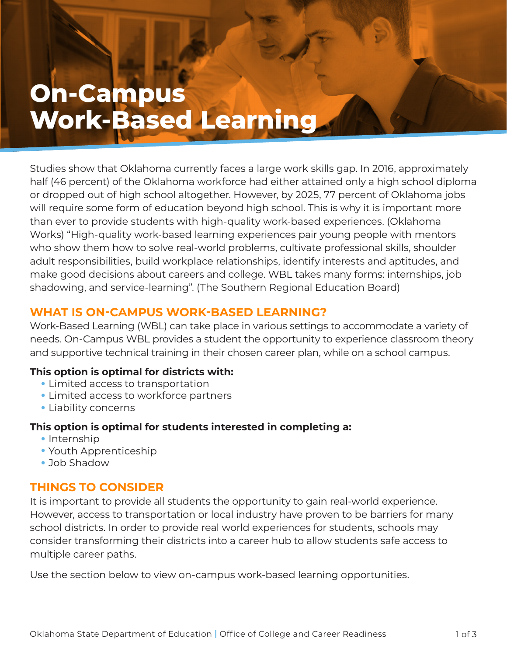# **On-Campus Work-Based Learning**

**ON-CAMPUS WORK-BASED WORK-BASED WORK-BASED** 

Studies show that Oklahoma currently faces a large work skills gap. In 2016, approximately half (46 percent) of the Oklahoma workforce had either attained only a high school diploma or dropped out of high school altogether. However, by 2025, 77 percent of Oklahoma jobs will require some form of education beyond high school. This is why it is important more than ever to provide students with high-quality work-based experiences. (Oklahoma Works) "High-quality work-based learning experiences pair young people with mentors who show them how to solve real-world problems, cultivate professional skills, shoulder adult responsibilities, build workplace relationships, identify interests and aptitudes, and make good decisions about careers and college. WBL takes many forms: internships, job shadowing, and service-learning". (The Southern Regional Education Board)

# **WHAT IS ON-CAMPUS WORK-BASED LEARNING?**

Work-Based Learning (WBL) can take place in various settings to accommodate a variety of needs. On-Campus WBL provides a student the opportunity to experience classroom theory and supportive technical training in their chosen career plan, while on a school campus.

## **This option is optimal for districts with:**

- Limited access to transportation
- Limited access to workforce partners
- Liability concerns

## **This option is optimal for students interested in completing a:**

- Internship
- Youth Apprenticeship
- Job Shadow

# **THINGS TO CONSIDER**

It is important to provide all students the opportunity to gain real-world experience. However, access to transportation or local industry have proven to be barriers for many school districts. In order to provide real world experiences for students, schools may consider transforming their districts into a career hub to allow students safe access to multiple career paths.

Use the section below to view on-campus work-based learning opportunities.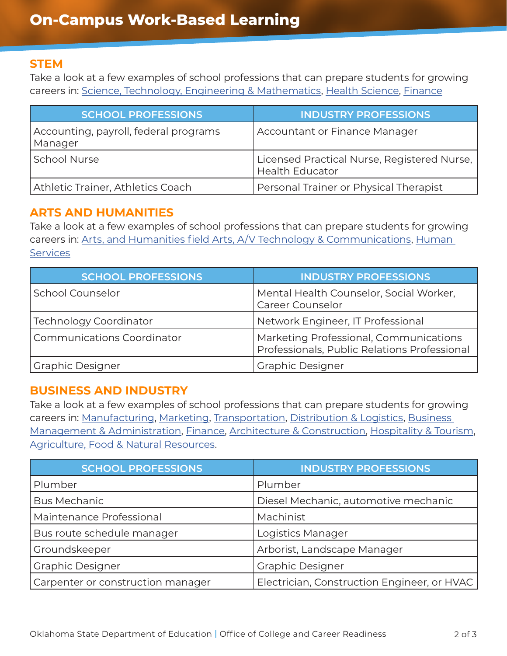#### **STEM**

Take a look at a few examples of school professions that can prepare students for growing careers in: [Science, Technology, Engineering & Mathematics,](https://careertech.org/STEM) [Health Science,](https://careertech.org/health-science) [Finance](https://careertech.org/finance)

| <b>SCHOOL PROFESSIONS</b>                        | <b>INDUSTRY PROFESSIONS</b>                                           |
|--------------------------------------------------|-----------------------------------------------------------------------|
| Accounting, payroll, federal programs<br>Manager | Accountant or Finance Manager                                         |
| <b>School Nurse</b>                              | Licensed Practical Nurse, Registered Nurse,<br><b>Health Educator</b> |
| Athletic Trainer, Athletics Coach                | Personal Trainer or Physical Therapist                                |

## **ARTS AND HUMANITIES**

Take a look at a few examples of school professions that can prepare students for growing careers in: [Arts, and Humanities field Arts, A/V Technology & Communications,](https://careertech.org/arts) [Human](https://careertech.org/human-services)  **[Services](https://careertech.org/human-services)** 

| <b>SCHOOL PROFESSIONS</b>         | <b>INDUSTRY PROFESSIONS</b>                                                            |
|-----------------------------------|----------------------------------------------------------------------------------------|
| <b>School Counselor</b>           | Mental Health Counselor, Social Worker,<br>Career Counselor                            |
| <b>Technology Coordinator</b>     | Network Engineer, IT Professional                                                      |
| <b>Communications Coordinator</b> | Marketing Professional, Communications<br>Professionals, Public Relations Professional |
| <b>Graphic Designer</b>           | <b>Graphic Designer</b>                                                                |

# **BUSINESS AND INDUSTRY**

Take a look at a few examples of school professions that can prepare students for growing careers in: [Manufacturing](https://careertech.org/manufacturing), [Marketing,](https://careertech.org/marketing) [Transportation, Distribution & Logistics](https://careertech.org/transportation), [Business](https://careertech.org/business)  [Management & Administration,](https://careertech.org/business) [Finance,](https://careertech.org/finance) [Architecture & Construction,](https://careertech.org/architecture-construction) [Hospitality & Tourism](https://careertech.org/hospitality-tourism), [Agriculture, Food & Natural Resources.](https://careertech.org/agriculture)

| <b>SCHOOL PROFESSIONS</b>         | <b>INDUSTRY PROFESSIONS</b>                 |
|-----------------------------------|---------------------------------------------|
| Plumber                           | Plumber                                     |
| <b>Bus Mechanic</b>               | Diesel Mechanic, automotive mechanic        |
| Maintenance Professional          | Machinist                                   |
| Bus route schedule manager        | Logistics Manager                           |
| Groundskeeper                     | Arborist, Landscape Manager                 |
| <b>Graphic Designer</b>           | <b>Graphic Designer</b>                     |
| Carpenter or construction manager | Electrician, Construction Engineer, or HVAC |